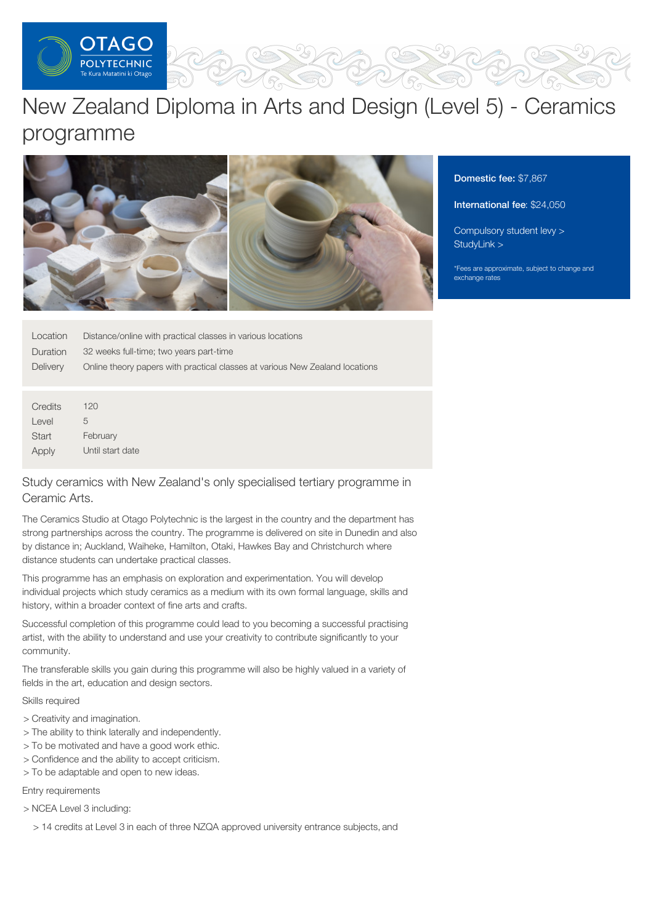

# New Zealand Diploma in Arts and Design (Level 5) - Ceramics programme



Domestic fee: \$7,867

#### International fee: \$24,050

[Compulsory](https://online.op.ac.nz/students/important-information/student-services-levy/) student levy > [StudyLink](https://www.studylink.govt.nz/) >

\*Fees are approximate, subject to change and exchange rates

| Location | Distance/online with practical classes in various locations                  |
|----------|------------------------------------------------------------------------------|
| Duration | 32 weeks full-time; two years part-time                                      |
| Delivery | Online theory papers with practical classes at various New Zealand locations |

**Credits** Level **Start** Apply 120 5 February Until start date

# Study ceramics with New Zealand's only specialised tertiary programme in Ceramic Arts.

The Ceramics Studio at Otago Polytechnic is the largest in the country and the department has strong partnerships across the country. The programme is delivered on site in Dunedin and also by distance in; Auckland, Waiheke, Hamilton, Otaki, Hawkes Bay and Christchurch where distance students can undertake practical classes.

This programme has an emphasis on exploration and experimentation. You will develop individual projects which study ceramics as a medium with its own formal language, skills and history, within a broader context of fine arts and crafts.

Successful completion of this programme could lead to you becoming a successful practising artist, with the ability to understand and use your creativity to contribute significantly to your community.

The transferable skills you gain during this programme will also be highly valued in a variety of fields in the art, education and design sectors.

Skills required

- > Creativity and imagination.
- > The ability to think laterally and independently.
- > To be motivated and have a good work ethic.
- > Confidence and the ability to accept criticism.
- > To be adaptable and open to new ideas.

Entry requirements

> NCEA Level 3 including:

> 14 credits at Level 3 in each of three NZQA approved university entrance subjects, and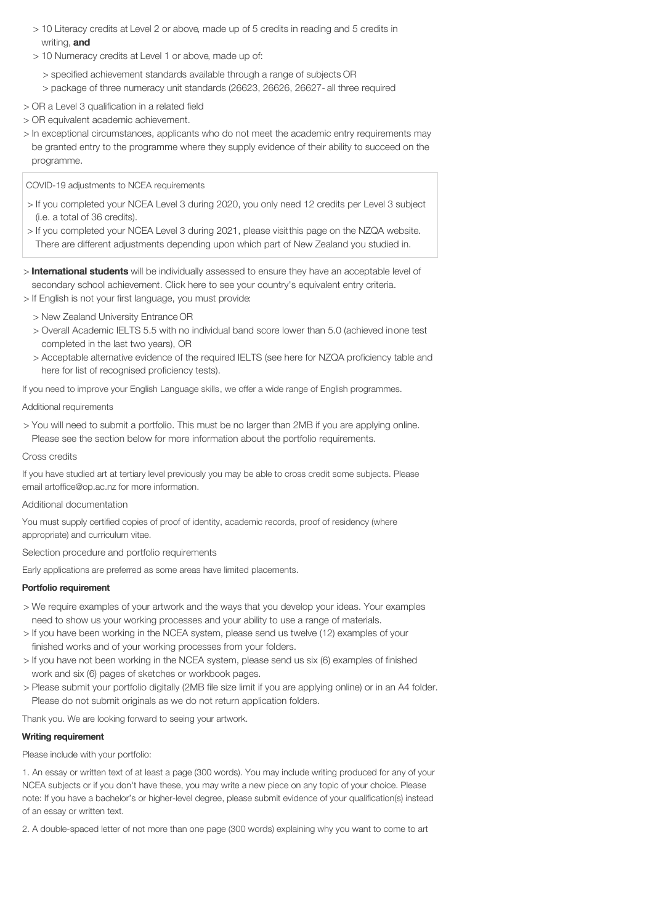- > 10 Literacy credits at Level 2 or above, made up of 5 credits in reading and 5 credits in writing, and
- > 10 Numeracy credits at Level 1 or above, made up of:
	- > specified achievement standards available through a range of subjects OR
	- > package of three numeracy unit standards (26623, 26626, 26627- all three required
- > OR a Level 3 qualification in a related field
- > OR equivalent academic achievement.
- > In exceptional circumstances, applicants who do not meet the academic entry requirements may be granted entry to the programme where they supply evidence of their ability to succeed on the programme.
- COVID-19 adjustments to NCEA requirements
- > If you completed your NCEA Level 3 during 2020, you only need 12 credits per Level 3 subject (i.e. a total of 36 credits).
- > If you completed your NCEA Level 3 during 2021, please visitthis page on the NZQA website. There are different adjustments depending upon which part of New Zealand you studied in.
- > **International students** will be individually assessed to ensure they have an acceptable level of secondary school achievement. Click here to see your country's equivalent entry criteria.

> If English is not your first language, you must provide:

- > New Zealand University Entrance OR
- > Overall Academic IELTS 5.5 with no individual band score lower than 5.0 (achieved inone test completed in the last two years), OR
- > Acceptable alternative evidence of the required IELTS (see here for NZQA proficiency table and here for list of recognised proficiency tests).

If you need to improve your English Language skills, we offer a wide range of English programmes.

## Additional requirements

> You will need to submit a portfolio. This must be no larger than 2MB if you are applying online. Please see the section below for more information about the portfolio requirements.

## Cross credits

If you have studied art at tertiary level previously you may be able to cross credit some subjects. Please email artoffice@op.ac.nz for more information.

## Additional documentation

You must supply certified copies of proof of identity, academic records, proof of residency (where appropriate) and curriculum vitae.

Selection procedure and portfolio requirements

Early applications are preferred as some areas have limited placements.

# Portfolio requirement

- > We require examples of your artwork and the ways that you develop your ideas. Your examples need to show us your working processes and your ability to use a range of materials.
- > If you have been working in the NCEA system, please send us twelve (12) examples of your finished works and of your working processes from your folders.
- > If you have not been working in the NCEA system, please send us six (6) examples of finished work and six (6) pages of sketches or workbook pages.
- > Please submit your portfolio digitally (2MB file size limit if you are applying online) or in an A4 folder. Please do not submit originals as we do not return application folders.

Thank you. We are looking forward to seeing your artwork.

# Writing requirement

Please include with your portfolio:

1. An essay or written text of at least a page (300 words). You may include writing produced for any of your NCEA subjects or if you don't have these, you may write a new piece on any topic of your choice. Please note: If you have a bachelor's or higher-level degree, please submit evidence of your qualification(s) instead of an essay or written text.

2. A double-spaced letter of not more than one page (300 words) explaining why you want to come to art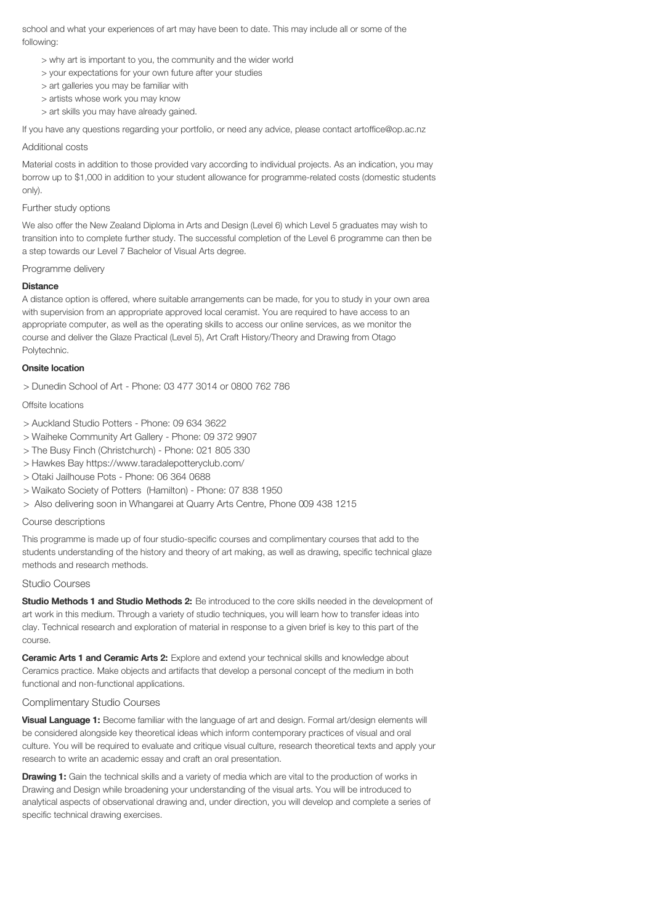school and what your experiences of art may have been to date. This may include all or some of the following:

- > why art is important to you, the community and the wider world
- > your expectations for your own future after your studies
- > art galleries you may be familiar with
- > artists whose work you may know
- > art skills you may have already gained.

If you have any questions regarding your portfolio, or need any advice, please contact artoffice@op.ac.nz

#### Additional costs

Material costs in addition to those provided vary according to individual projects. As an indication, you may borrow up to \$1,000 in addition to your student allowance for programme-related costs (domestic students only).

#### Further study options

We also offer the New Zealand Diploma in Arts and Design (Level 6) which Level 5 graduates may wish to transition into to complete further study. The successful completion of the Level 6 programme can then be a step towards our Level 7 Bachelor of Visual Arts degree.

#### Programme delivery

### **Distance**

A distance option is offered, where suitable arrangements can be made, for you to study in your own area with supervision from an appropriate approved local ceramist. You are required to have access to an appropriate computer, as well as the operating skills to access our online services, as we monitor the course and deliver the Glaze Practical (Level 5), Art Craft History/Theory and Drawing from Otago Polytechnic.

#### Onsite location

> Dunedin School of Art - Phone: 03 477 3014 or 0800 762 786

Offsite locations

- > Auckland Studio Potters Phone: 09 634 3622
- > Waiheke Community Art Gallery Phone: 09 372 9907
- > The Busy Finch (Christchurch) Phone: 021 805 330
- > Hawkes Bay https://www.taradalepotteryclub.com/
- > Otaki Jailhouse Pots Phone: 06 364 0688
- > Waikato Society of Potters (Hamilton) Phone: 07 838 1950
- > Also delivering soon in Whangarei at Quarry Arts Centre, Phone 009 438 1215

#### Course descriptions

This programme is made up of four studio-specific courses and complimentary courses that add to the students understanding of the history and theory of art making, as well as drawing, specific technical glaze methods and research methods.

#### Studio Courses

Studio Methods 1 and Studio Methods 2: Be introduced to the core skills needed in the development of art work in this medium. Through a variety of studio techniques, you will learn how to transfer ideas into clay. Technical research and exploration of material in response to a given brief is key to this part of the course.

Ceramic Arts 1 and Ceramic Arts 2: Explore and extend your technical skills and knowledge about Ceramics practice. Make objects and artifacts that develop a personal concept of the medium in both functional and non-functional applications.

## Complimentary Studio Courses

Visual Language 1: Become familiar with the language of art and design. Formal art/design elements will be considered alongside key theoretical ideas which inform contemporary practices of visual and oral culture. You will be required to evaluate and critique visual culture, research theoretical texts and apply your research to write an academic essay and craft an oral presentation.

**Drawing 1:** Gain the technical skills and a variety of media which are vital to the production of works in Drawing and Design while broadening your understanding of the visual arts. You will be introduced to analytical aspects of observational drawing and, under direction, you will develop and complete a series of specific technical drawing exercises.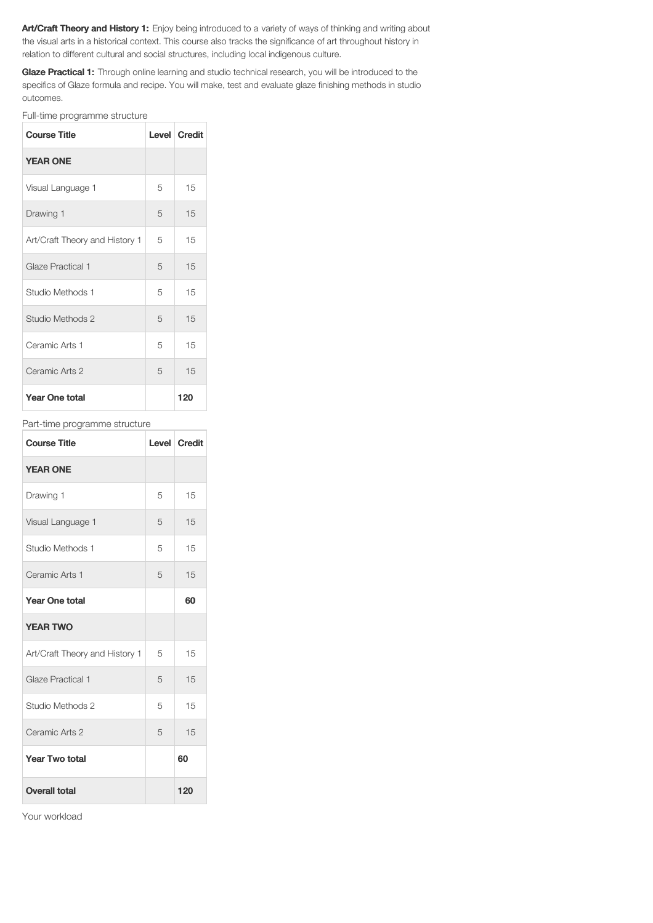Art/Craft Theory and History 1: Enjoy being introduced to a variety of ways of thinking and writing about the visual arts in a historical context. This course also tracks the significance of art throughout history in relation to different cultural and social structures, including local indigenous culture.

Glaze Practical 1: Through online learning and studio technical research, you will be introduced to the specifics of Glaze formula and recipe. You will make, test and evaluate glaze finishing methods in studio outcomes.

Full-time programme structure

| <b>Course Title</b>            |   | Level Credit |
|--------------------------------|---|--------------|
| <b>YEAR ONE</b>                |   |              |
| Visual Language 1              | 5 | 15           |
| Drawing 1                      | 5 | 15           |
| Art/Craft Theory and History 1 | 5 | 15           |
| Glaze Practical 1              | 5 | 15           |
| Studio Methods 1               | 5 | 15           |
| Studio Methods 2               | 5 | 15           |
| Ceramic Arts 1                 | 5 | 15           |
| Ceramic Arts 2                 | 5 | 15           |
| <b>Year One total</b>          |   | 120          |

## Part-time programme structure

| <b>Course Title</b>            |   | Level Credit |
|--------------------------------|---|--------------|
| <b>YEAR ONE</b>                |   |              |
| Drawing 1                      | 5 | 15           |
| Visual Language 1              | 5 | 15           |
| Studio Methods 1               | 5 | 15           |
| Ceramic Arts 1                 | 5 | 15           |
| <b>Year One total</b>          |   | 60           |
| <b>YEAR TWO</b>                |   |              |
| Art/Craft Theory and History 1 | 5 | 15           |
| Glaze Practical 1              | 5 | 15           |
| Studio Methods 2               | 5 | 15           |
| Ceramic Arts 2                 | 5 | 15           |
| <b>Year Two total</b>          |   | 60           |
| <b>Overall total</b>           |   | 120          |

Your workload